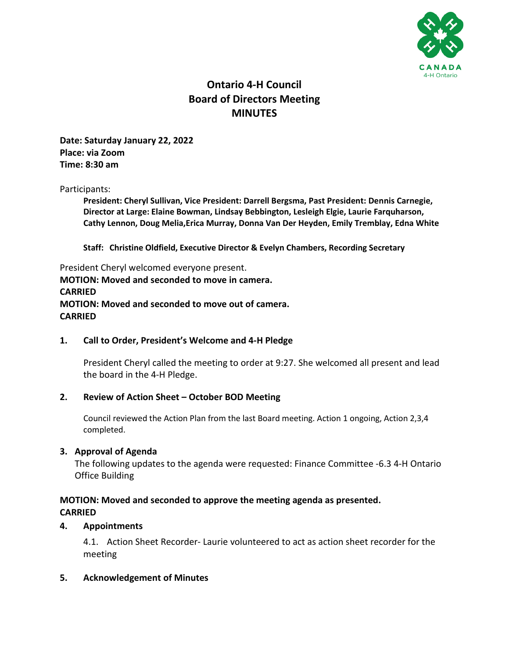

# **Ontario 4-H Council Board of Directors Meeting MINUTES**

**Date: Saturday January 22, 2022 Place: via Zoom Time: 8:30 am**

#### Participants:

**President: Cheryl Sullivan, Vice President: Darrell Bergsma, Past President: Dennis Carnegie, Director at Large: Elaine Bowman, Lindsay Bebbington, Lesleigh Elgie, Laurie Farquharson, Cathy Lennon, Doug Melia,Erica Murray, Donna Van Der Heyden, Emily Tremblay, Edna White**

**Staff: Christine Oldfield, Executive Director & Evelyn Chambers, Recording Secretary**

President Cheryl welcomed everyone present. **MOTION: Moved and seconded to move in camera. CARRIED MOTION: Moved and seconded to move out of camera. CARRIED**

## **1. Call to Order, President's Welcome and 4-H Pledge**

President Cheryl called the meeting to order at 9:27. She welcomed all present and lead the board in the 4-H Pledge.

## **2. Review of Action Sheet – October BOD Meeting**

Council reviewed the Action Plan from the last Board meeting. Action 1 ongoing, Action 2,3,4 completed.

## **3. Approval of Agenda**

The following updates to the agenda were requested: Finance Committee -6.3 4-H Ontario Office Building

# **MOTION: Moved and seconded to approve the meeting agenda as presented. CARRIED**

## **4. Appointments**

4.1. Action Sheet Recorder- Laurie volunteered to act as action sheet recorder for the meeting

## **5. Acknowledgement of Minutes**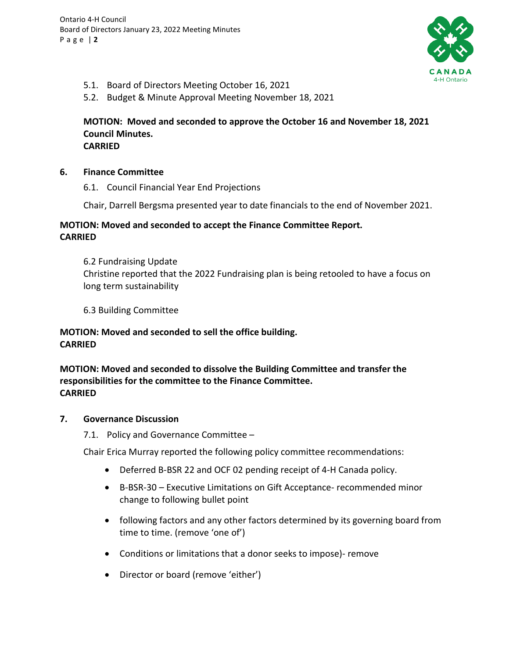

- 5.1. Board of Directors Meeting October 16, 2021
- 5.2. Budget & Minute Approval Meeting November 18, 2021

## **MOTION: Moved and seconded to approve the October 16 and November 18, 2021 Council Minutes. CARRIED**

- **6. Finance Committee** 
	- 6.1. Council Financial Year End Projections

Chair, Darrell Bergsma presented year to date financials to the end of November 2021.

# **MOTION: Moved and seconded to accept the Finance Committee Report. CARRIED**

6.2 Fundraising Update Christine reported that the 2022 Fundraising plan is being retooled to have a focus on long term sustainability

6.3 Building Committee

# **MOTION: Moved and seconded to sell the office building. CARRIED**

**MOTION: Moved and seconded to dissolve the Building Committee and transfer the responsibilities for the committee to the Finance Committee. CARRIED**

## **7. Governance Discussion**

7.1. Policy and Governance Committee –

Chair Erica Murray reported the following policy committee recommendations:

- Deferred B-BSR 22 and OCF 02 pending receipt of 4-H Canada policy.
- B-BSR-30 Executive Limitations on Gift Acceptance- recommended minor change to following bullet point
- following factors and any other factors determined by its governing board from time to time. (remove 'one of')
- Conditions or limitations that a donor seeks to impose)- remove
- Director or board (remove 'either')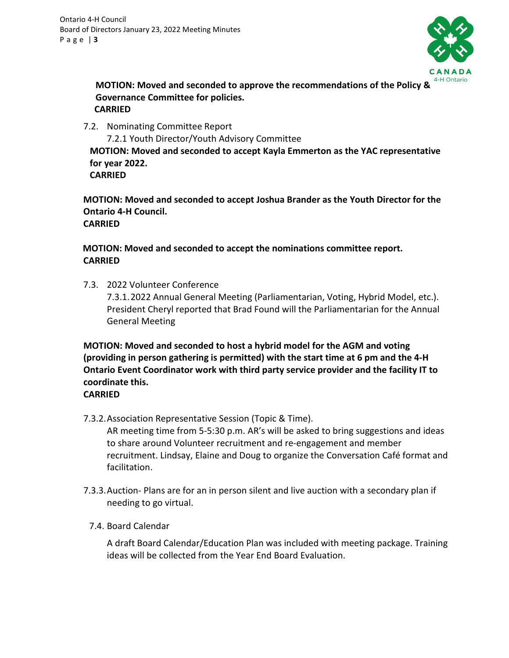

**MOTION: Moved and seconded to approve the recommendations of the Policy & Governance Committee for policies. CARRIED**

7.2. Nominating Committee Report

7.2.1 Youth Director/Youth Advisory Committee **MOTION: Moved and seconded to accept Kayla Emmerton as the YAC representative for year 2022.** 

**CARRIED**

**MOTION: Moved and seconded to accept Joshua Brander as the Youth Director for the Ontario 4-H Council. CARRIED**

# **MOTION: Moved and seconded to accept the nominations committee report. CARRIED**

7.3. 2022 Volunteer Conference 7.3.1.2022 Annual General Meeting (Parliamentarian, Voting, Hybrid Model, etc.). President Cheryl reported that Brad Found will the Parliamentarian for the Annual General Meeting

**MOTION: Moved and seconded to host a hybrid model for the AGM and voting (providing in person gathering is permitted) with the start time at 6 pm and the 4-H Ontario Event Coordinator work with third party service provider and the facility IT to coordinate this.**

# **CARRIED**

7.3.2.Association Representative Session (Topic & Time).

AR meeting time from 5-5:30 p.m. AR's will be asked to bring suggestions and ideas to share around Volunteer recruitment and re-engagement and member recruitment. Lindsay, Elaine and Doug to organize the Conversation Café format and facilitation.

- 7.3.3.Auction- Plans are for an in person silent and live auction with a secondary plan if needing to go virtual.
	- 7.4. Board Calendar

A draft Board Calendar/Education Plan was included with meeting package. Training ideas will be collected from the Year End Board Evaluation.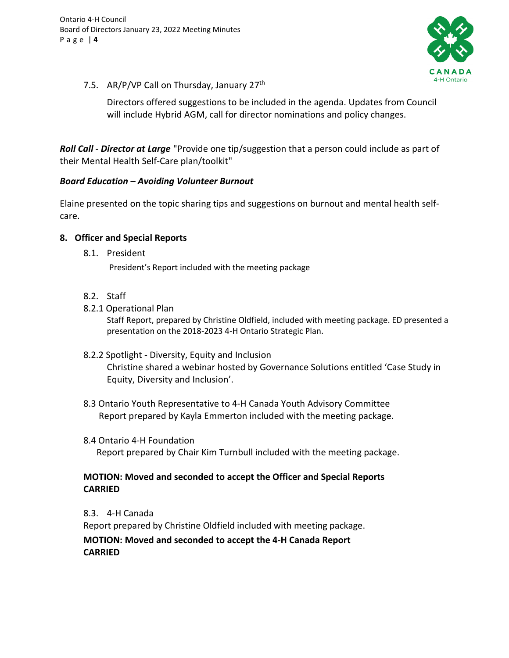

7.5. AR/P/VP Call on Thursday, January 27<sup>th</sup>

Directors offered suggestions to be included in the agenda. Updates from Council will include Hybrid AGM, call for director nominations and policy changes.

*Roll Call - Director at Large* "Provide one tip/suggestion that a person could include as part of their Mental Health Self-Care plan/toolkit"

## *Board Education – Avoiding Volunteer Burnout*

Elaine presented on the topic sharing tips and suggestions on burnout and mental health selfcare.

## **8. Officer and Special Reports**

8.1. President

President's Report included with the meeting package

- 8.2. Staff
- 8.2.1 Operational Plan

Staff Report, prepared by Christine Oldfield, included with meeting package. ED presented a presentation on the 2018-2023 4-H Ontario Strategic Plan.

- 8.2.2 Spotlight Diversity, Equity and Inclusion Christine shared a webinar hosted by Governance Solutions entitled 'Case Study in Equity, Diversity and Inclusion'.
- 8.3 Ontario Youth Representative to 4-H Canada Youth Advisory Committee Report prepared by Kayla Emmerton included with the meeting package.
- 8.4 Ontario 4-H Foundation Report prepared by Chair Kim Turnbull included with the meeting package.

# **MOTION: Moved and seconded to accept the Officer and Special Reports CARRIED**

8.3. 4-H Canada

Report prepared by Christine Oldfield included with meeting package.

**MOTION: Moved and seconded to accept the 4-H Canada Report CARRIED**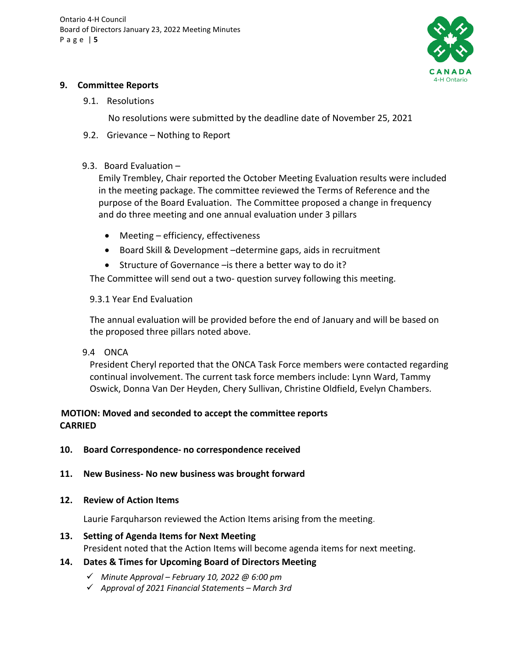

## **9. Committee Reports**

## 9.1. Resolutions

No resolutions were submitted by the deadline date of November 25, 2021

9.2. Grievance – Nothing to Report

## 9.3.Board Evaluation –

Emily Trembley, Chair reported the October Meeting Evaluation results were included in the meeting package. The committee reviewed the Terms of Reference and the purpose of the Board Evaluation. The Committee proposed a change in frequency and do three meeting and one annual evaluation under 3 pillars

- Meeting efficiency, effectiveness
- Board Skill & Development –determine gaps, aids in recruitment
- Structure of Governance –is there a better way to do it?

The Committee will send out a two- question survey following this meeting.

# 9.3.1 Year End Evaluation

The annual evaluation will be provided before the end of January and will be based on the proposed three pillars noted above.

9.4 ONCA

President Cheryl reported that the ONCA Task Force members were contacted regarding continual involvement. The current task force members include: Lynn Ward, Tammy Oswick, Donna Van Der Heyden, Chery Sullivan, Christine Oldfield, Evelyn Chambers.

# **MOTION: Moved and seconded to accept the committee reports CARRIED**

- **10. Board Correspondence- no correspondence received**
- **11. New Business- No new business was brought forward**

## **12. Review of Action Items**

Laurie Farquharson reviewed the Action Items arising from the meeting.

# **13. Setting of Agenda Items for Next Meeting**

President noted that the Action Items will become agenda items for next meeting.

# **14. Dates & Times for Upcoming Board of Directors Meeting**

- *Minute Approval – February 10, 2022 @ 6:00 pm*
- *Approval of 2021 Financial Statements – March 3rd*